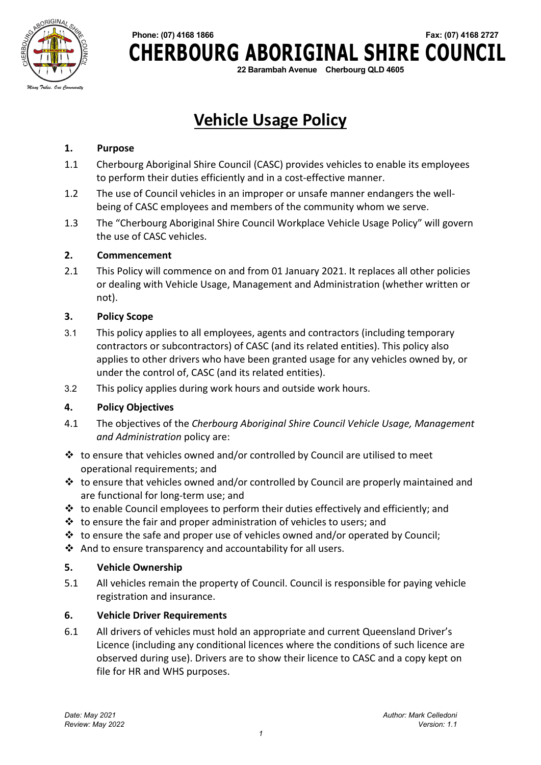

# **Phone: (07) 4168 1866 Fax: (07) 4168 2727 CHERBOURG ABORIGINAL SHIRE COUNCIL**

**22 Barambah Avenue Cherbourg QLD 4605**

## **Vehicle Usage Policy**

#### **1. Purpose**

- 1.1 Cherbourg Aboriginal Shire Council (CASC) provides vehicles to enable its employees to perform their duties efficiently and in a cost-effective manner.
- 1.2 The use of Council vehicles in an improper or unsafe manner endangers the wellbeing of CASC employees and members of the community whom we serve.
- 1.3 The "Cherbourg Aboriginal Shire Council Workplace Vehicle Usage Policy" will govern the use of CASC vehicles.

#### **2. Commencement**

2.1 This Policy will commence on and from 01 January 2021. It replaces all other policies or dealing with Vehicle Usage, Management and Administration (whether written or not).

#### **3. Policy Scope**

- 3.1 This policy applies to all employees, agents and contractors (including temporary contractors or subcontractors) of CASC (and its related entities). This policy also applies to other drivers who have been granted usage for any vehicles owned by, or under the control of, CASC (and its related entities).
- 3.2 This policy applies during work hours and outside work hours.

#### **4. Policy Objectives**

- 4.1 The objectives of the *Cherbourg Aboriginal Shire Council Vehicle Usage, Management and Administration* policy are:
- $\cdot \cdot$  to ensure that vehicles owned and/or controlled by Council are utilised to meet operational requirements; and
- $\cdot \cdot$  to ensure that vehicles owned and/or controlled by Council are properly maintained and are functional for long-term use; and
- $\cdot$  to enable Council employees to perform their duties effectively and efficiently; and
- $\cdot$  to ensure the fair and proper administration of vehicles to users; and
- $\cdot \cdot$  to ensure the safe and proper use of vehicles owned and/or operated by Council;
- $\clubsuit$  And to ensure transparency and accountability for all users.

#### **5. Vehicle Ownership**

5.1 All vehicles remain the property of Council. Council is responsible for paying vehicle registration and insurance.

#### **6. Vehicle Driver Requirements**

6.1 All drivers of vehicles must hold an appropriate and current Queensland Driver's Licence (including any conditional licences where the conditions of such licence are observed during use). Drivers are to show their licence to CASC and a copy kept on file for HR and WHS purposes.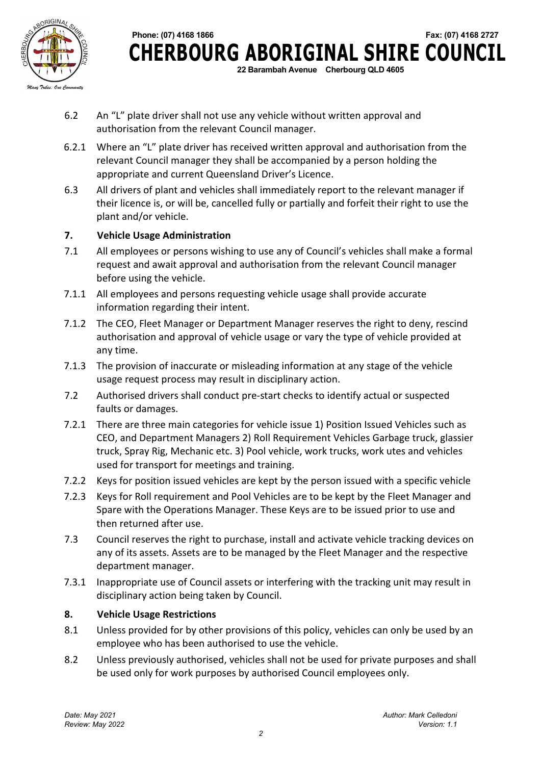

 **Phone: (07) 4168 1866 Fax: (07) 4168 2727 CHERBOURG ABORIGINAL SHIRE COUNCIL 22 Barambah Avenue Cherbourg QLD 4605**

- 6.2 An "L" plate driver shall not use any vehicle without written approval and authorisation from the relevant Council manager.
- 6.2.1 Where an "L" plate driver has received written approval and authorisation from the relevant Council manager they shall be accompanied by a person holding the appropriate and current Queensland Driver's Licence.
- 6.3 All drivers of plant and vehicles shall immediately report to the relevant manager if their licence is, or will be, cancelled fully or partially and forfeit their right to use the plant and/or vehicle.

#### **7. Vehicle Usage Administration**

- 7.1 All employees or persons wishing to use any of Council's vehicles shall make a formal request and await approval and authorisation from the relevant Council manager before using the vehicle.
- 7.1.1 All employees and persons requesting vehicle usage shall provide accurate information regarding their intent.
- 7.1.2 The CEO, Fleet Manager or Department Manager reserves the right to deny, rescind authorisation and approval of vehicle usage or vary the type of vehicle provided at any time.
- 7.1.3 The provision of inaccurate or misleading information at any stage of the vehicle usage request process may result in disciplinary action.
- 7.2 Authorised drivers shall conduct pre-start checks to identify actual or suspected faults or damages.
- 7.2.1 There are three main categories for vehicle issue 1) Position Issued Vehicles such as CEO, and Department Managers 2) Roll Requirement Vehicles Garbage truck, glassier truck, Spray Rig, Mechanic etc. 3) Pool vehicle, work trucks, work utes and vehicles used for transport for meetings and training.
- 7.2.2 Keys for position issued vehicles are kept by the person issued with a specific vehicle
- 7.2.3 Keys for Roll requirement and Pool Vehicles are to be kept by the Fleet Manager and Spare with the Operations Manager. These Keys are to be issued prior to use and then returned after use.
- 7.3 Council reserves the right to purchase, install and activate vehicle tracking devices on any of its assets. Assets are to be managed by the Fleet Manager and the respective department manager.
- 7.3.1 Inappropriate use of Council assets or interfering with the tracking unit may result in disciplinary action being taken by Council.

#### **8. Vehicle Usage Restrictions**

- 8.1 Unless provided for by other provisions of this policy, vehicles can only be used by an employee who has been authorised to use the vehicle.
- 8.2 Unless previously authorised, vehicles shall not be used for private purposes and shall be used only for work purposes by authorised Council employees only.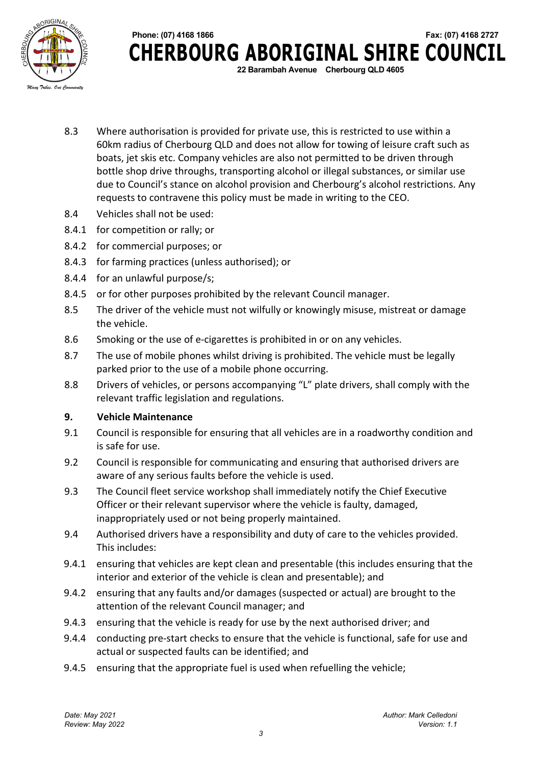



- 8.3 Where authorisation is provided for private use, this is restricted to use within a 60km radius of Cherbourg QLD and does not allow for towing of leisure craft such as boats, jet skis etc. Company vehicles are also not permitted to be driven through bottle shop drive throughs, transporting alcohol or illegal substances, or similar use due to Council's stance on alcohol provision and Cherbourg's alcohol restrictions. Any requests to contravene this policy must be made in writing to the CEO.
- 8.4 Vehicles shall not be used:
- 8.4.1 for competition or rally; or
- 8.4.2 for commercial purposes; or
- 8.4.3 for farming practices (unless authorised); or
- 8.4.4 for an unlawful purpose/s;
- 8.4.5 or for other purposes prohibited by the relevant Council manager.
- 8.5 The driver of the vehicle must not wilfully or knowingly misuse, mistreat or damage the vehicle.
- 8.6 Smoking or the use of e-cigarettes is prohibited in or on any vehicles.
- 8.7 The use of mobile phones whilst driving is prohibited. The vehicle must be legally parked prior to the use of a mobile phone occurring.
- 8.8 Drivers of vehicles, or persons accompanying "L" plate drivers, shall comply with the relevant traffic legislation and regulations.

#### **9. Vehicle Maintenance**

- 9.1 Council is responsible for ensuring that all vehicles are in a roadworthy condition and is safe for use.
- 9.2 Council is responsible for communicating and ensuring that authorised drivers are aware of any serious faults before the vehicle is used.
- 9.3 The Council fleet service workshop shall immediately notify the Chief Executive Officer or their relevant supervisor where the vehicle is faulty, damaged, inappropriately used or not being properly maintained.
- 9.4 Authorised drivers have a responsibility and duty of care to the vehicles provided. This includes:
- 9.4.1 ensuring that vehicles are kept clean and presentable (this includes ensuring that the interior and exterior of the vehicle is clean and presentable); and
- 9.4.2 ensuring that any faults and/or damages (suspected or actual) are brought to the attention of the relevant Council manager; and
- 9.4.3 ensuring that the vehicle is ready for use by the next authorised driver; and
- 9.4.4 conducting pre-start checks to ensure that the vehicle is functional, safe for use and actual or suspected faults can be identified; and
- 9.4.5 ensuring that the appropriate fuel is used when refuelling the vehicle;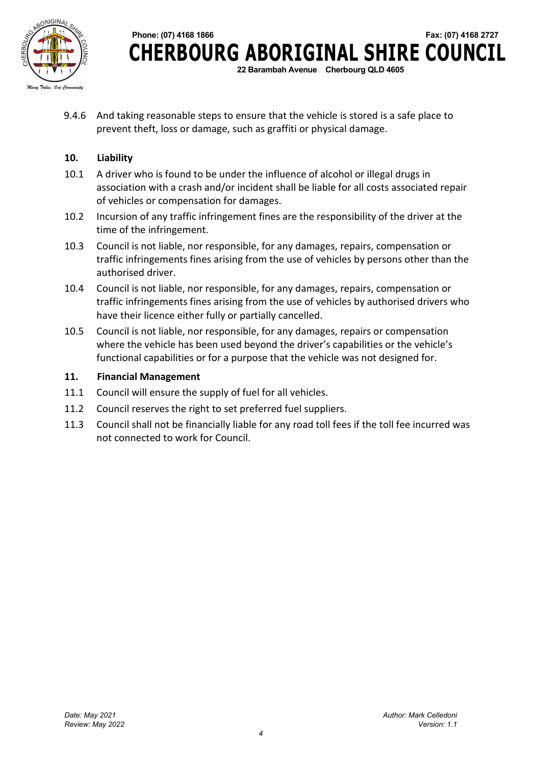

 **Phone: (07) 4168 1866 Fax: (07) 4168 2727 CHERBOURG ABORIGINAL SHIRE COUNCIL 22 Barambah Avenue Cherbourg QLD 4605**

9.4.6 And taking reasonable steps to ensure that the vehicle is stored is a safe place to prevent theft, loss or damage, such as graffiti or physical damage.

#### **10. Liability**

- 10.1 A driver who is found to be under the influence of alcohol or illegal drugs in association with a crash and/or incident shall be liable for all costs associated repair of vehicles or compensation for damages.
- 10.2 Incursion of any traffic infringement fines are the responsibility of the driver at the time of the infringement.
- 10.3 Council is not liable, nor responsible, for any damages, repairs, compensation or traffic infringements fines arising from the use of vehicles by persons other than the authorised driver.
- 10.4 Council is not liable, nor responsible, for any damages, repairs, compensation or traffic infringements fines arising from the use of vehicles by authorised drivers who have their licence either fully or partially cancelled.
- 10.5 Council is not liable, nor responsible, for any damages, repairs or compensation where the vehicle has been used beyond the driver's capabilities or the vehicle's functional capabilities or for a purpose that the vehicle was not designed for.

#### **11. Financial Management**

- 11.1 Council will ensure the supply of fuel for all vehicles.
- 11.2 Council reserves the right to set preferred fuel suppliers.
- 11.3 Council shall not be financially liable for any road toll fees if the toll fee incurred was not connected to work for Council.